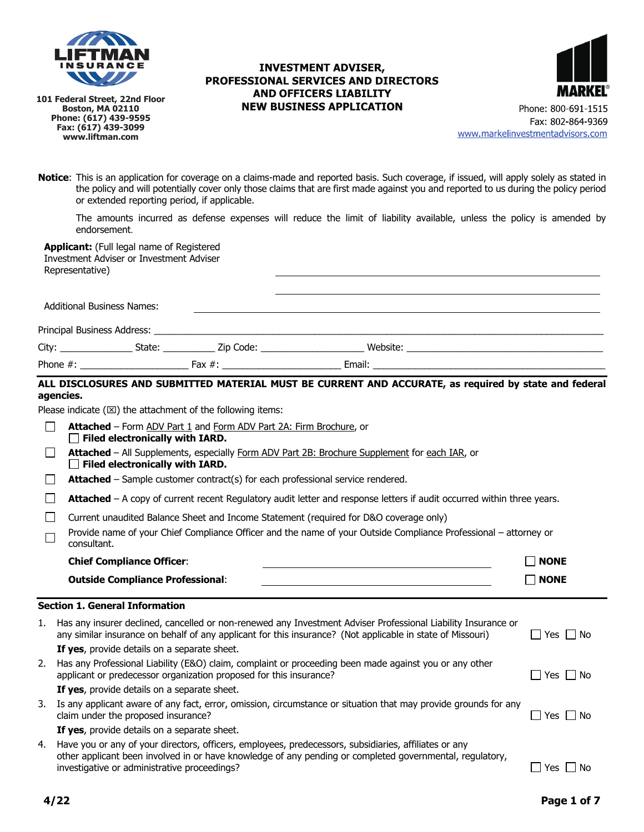

**101 Federal Street, 22nd Floor Boston, MA 02110 Phone: (617) 439-9595 Fax: (617) 439-3099 www.liftman.com**

### **INVESTMENT ADVISER,** PROFESSIONAL SERVICES AND DIRECTORS **AND OFFICERS LIABILITY NEW BUSINESS APPLICATION**



**Notice**: This is an application for coverage on a claims-made and reported basis. Such coverage, if issued, will apply solely as stated in the policy and will potentially cover only those claims that are first made against you and reported to us during the policy period or extended reporting period, if applicable.

The amounts incurred as defense expenses will reduce the limit of liability available, unless the policy is amended by endorsement.

**Applicant:** (Full legal name of Registered Investment Adviser or Investment Adviser Representative)

| <b>Additional Business Names:</b> |                                              |                                                                                                                |                                                                                                                                                                                                                               |  |
|-----------------------------------|----------------------------------------------|----------------------------------------------------------------------------------------------------------------|-------------------------------------------------------------------------------------------------------------------------------------------------------------------------------------------------------------------------------|--|
|                                   |                                              |                                                                                                                |                                                                                                                                                                                                                               |  |
| City: __________________          | State:                                       | Zip Code: The Code Side of the Code Side of the Code Side of the Code Side of the Code Side of the Code Side o | website: when the contract of the contract of the contract of the contract of the contract of the contract of the contract of the contract of the contract of the contract of the contract of the contract of the contract of |  |
| Phone #:                          | the control of the control of the control of | Fax $\#$ :                                                                                                     |                                                                                                                                                                                                                               |  |

### **ALL DISCLOSURES AND SUBMITTED MATERIAL MUST BE CURRENT AND ACCURATE, as required by state and federal agencies.**

Please indicate  $(\boxtimes)$  the attachment of the following items:

| <b>Outside Compliance Professional:</b>                                                                                                        | <b>NONE</b><br>$\blacksquare$ |  |  |
|------------------------------------------------------------------------------------------------------------------------------------------------|-------------------------------|--|--|
| <b>Chief Compliance Officer:</b>                                                                                                               | <b>NONE</b><br>$\blacksquare$ |  |  |
| Provide name of your Chief Compliance Officer and the name of your Outside Compliance Professional – attorney or<br>consultant.                |                               |  |  |
| Current unaudited Balance Sheet and Income Statement (required for D&O coverage only)                                                          |                               |  |  |
| Attached - A copy of current recent Regulatory audit letter and response letters if audit occurred within three years.                         |                               |  |  |
| <b>Attached</b> – Sample customer contract(s) for each professional service rendered.                                                          |                               |  |  |
| <b>Attached</b> – All Supplements, especially Form ADV Part 2B: Brochure Supplement for each IAR, or<br>$\Box$ Filed electronically with IARD. |                               |  |  |
| <b>Attached</b> - Form ADV Part 1 and Form ADV Part 2A: Firm Brochure, or<br>$\Box$ Filed electronically with IARD.                            |                               |  |  |
|                                                                                                                                                |                               |  |  |

| 1. Has any insurer declined, cancelled or non-renewed any Investment Adviser Professional Liability Insurance or<br>any similar insurance on behalf of any applicant for this insurance? (Not applicable in state of Missouri) | $\Box$ Yes $\Box$ No |
|--------------------------------------------------------------------------------------------------------------------------------------------------------------------------------------------------------------------------------|----------------------|
| If yes, provide details on a separate sheet.                                                                                                                                                                                   |                      |
| 2. Has any Professional Liability (E&O) claim, complaint or proceeding been made against you or any other<br>applicant or predecessor organization proposed for this insurance?                                                | $\Box$ Yes $\Box$ No |
| If yes, provide details on a separate sheet.                                                                                                                                                                                   |                      |
| 3. Is any applicant aware of any fact, error, omission, circumstance or situation that may provide grounds for any<br>claim under the proposed insurance?                                                                      | $\Box$ Yes $\Box$ No |
| <b>If yes</b> , provide details on a separate sheet.                                                                                                                                                                           |                      |
| 4. Have you or any of your directors, officers, employees, predecessors, subsidiaries, affiliates or any<br>other applicant been involved in or have knowledge of any pending or completed governmental, regulatory,           |                      |

investigative or administrative proceedings?  $\Box$  Yes  $\Box$  Yes  $\Box$  Yes  $\Box$  No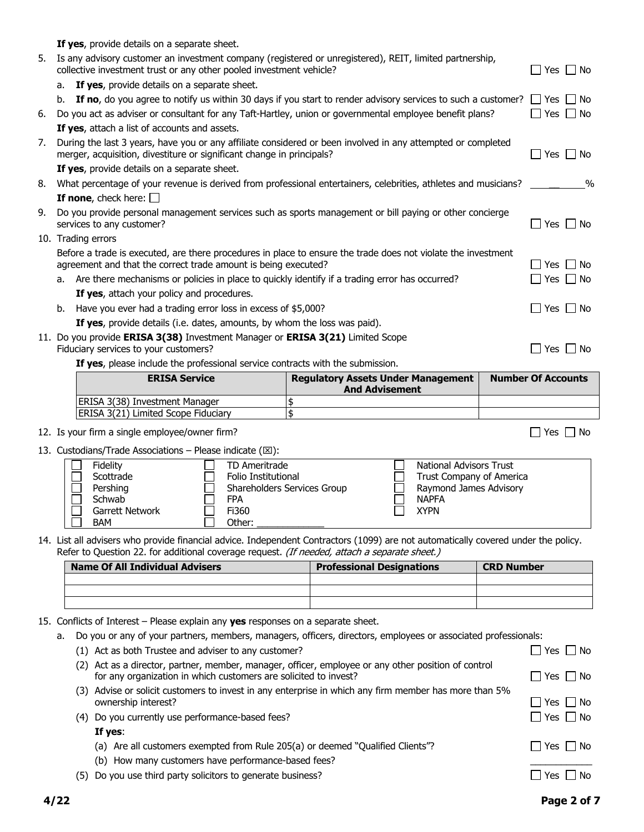|                                                                                                                                    | b. If no, do you agree to notify us within 30 days if you start to render advisory services to such a customer? $\Box$ Yes $\Box$ No                                                                                                                                                                                                                                                                                                                                                                                                                                                                                                                                                                                                                                                                                                                |                                                                                                                                                    |                                                                                                                   |  |
|------------------------------------------------------------------------------------------------------------------------------------|-----------------------------------------------------------------------------------------------------------------------------------------------------------------------------------------------------------------------------------------------------------------------------------------------------------------------------------------------------------------------------------------------------------------------------------------------------------------------------------------------------------------------------------------------------------------------------------------------------------------------------------------------------------------------------------------------------------------------------------------------------------------------------------------------------------------------------------------------------|----------------------------------------------------------------------------------------------------------------------------------------------------|-------------------------------------------------------------------------------------------------------------------|--|
| 6.                                                                                                                                 | Do you act as adviser or consultant for any Taft-Hartley, union or governmental employee benefit plans?                                                                                                                                                                                                                                                                                                                                                                                                                                                                                                                                                                                                                                                                                                                                             |                                                                                                                                                    | Yes     No                                                                                                        |  |
|                                                                                                                                    | If yes, attach a list of accounts and assets.                                                                                                                                                                                                                                                                                                                                                                                                                                                                                                                                                                                                                                                                                                                                                                                                       |                                                                                                                                                    |                                                                                                                   |  |
| 7.                                                                                                                                 | During the last 3 years, have you or any affiliate considered or been involved in any attempted or completed<br>merger, acquisition, divestiture or significant change in principals?                                                                                                                                                                                                                                                                                                                                                                                                                                                                                                                                                                                                                                                               |                                                                                                                                                    | $\Box$ Yes $\Box$ No                                                                                              |  |
|                                                                                                                                    | If yes, provide details on a separate sheet.                                                                                                                                                                                                                                                                                                                                                                                                                                                                                                                                                                                                                                                                                                                                                                                                        |                                                                                                                                                    |                                                                                                                   |  |
| 8.                                                                                                                                 | What percentage of your revenue is derived from professional entertainers, celebrities, athletes and musicians?                                                                                                                                                                                                                                                                                                                                                                                                                                                                                                                                                                                                                                                                                                                                     |                                                                                                                                                    | $\%$                                                                                                              |  |
|                                                                                                                                    | If none, check here: $\Box$                                                                                                                                                                                                                                                                                                                                                                                                                                                                                                                                                                                                                                                                                                                                                                                                                         |                                                                                                                                                    |                                                                                                                   |  |
| 9.                                                                                                                                 | Do you provide personal management services such as sports management or bill paying or other concierge<br>services to any customer?                                                                                                                                                                                                                                                                                                                                                                                                                                                                                                                                                                                                                                                                                                                |                                                                                                                                                    | Yes $\Box$ No                                                                                                     |  |
|                                                                                                                                    | 10. Trading errors                                                                                                                                                                                                                                                                                                                                                                                                                                                                                                                                                                                                                                                                                                                                                                                                                                  |                                                                                                                                                    |                                                                                                                   |  |
|                                                                                                                                    | Before a trade is executed, are there procedures in place to ensure the trade does not violate the investment<br>agreement and that the correct trade amount is being executed?                                                                                                                                                                                                                                                                                                                                                                                                                                                                                                                                                                                                                                                                     |                                                                                                                                                    | □ No<br>l Yes                                                                                                     |  |
|                                                                                                                                    | a. Are there mechanisms or policies in place to quickly identify if a trading error has occurred?                                                                                                                                                                                                                                                                                                                                                                                                                                                                                                                                                                                                                                                                                                                                                   |                                                                                                                                                    | Yes $  \cdot  $ No                                                                                                |  |
|                                                                                                                                    | If yes, attach your policy and procedures.                                                                                                                                                                                                                                                                                                                                                                                                                                                                                                                                                                                                                                                                                                                                                                                                          |                                                                                                                                                    |                                                                                                                   |  |
|                                                                                                                                    | b. Have you ever had a trading error loss in excess of \$5,000?                                                                                                                                                                                                                                                                                                                                                                                                                                                                                                                                                                                                                                                                                                                                                                                     |                                                                                                                                                    | $\Box$ Yes $\Box$ No                                                                                              |  |
|                                                                                                                                    | If yes, provide details (i.e. dates, amounts, by whom the loss was paid).                                                                                                                                                                                                                                                                                                                                                                                                                                                                                                                                                                                                                                                                                                                                                                           |                                                                                                                                                    |                                                                                                                   |  |
|                                                                                                                                    | 11. Do you provide ERISA 3(38) Investment Manager or ERISA 3(21) Limited Scope<br>Fiduciary services to your customers?                                                                                                                                                                                                                                                                                                                                                                                                                                                                                                                                                                                                                                                                                                                             |                                                                                                                                                    | $\Box$ Yes $\Box$ No                                                                                              |  |
|                                                                                                                                    | If yes, please include the professional service contracts with the submission.                                                                                                                                                                                                                                                                                                                                                                                                                                                                                                                                                                                                                                                                                                                                                                      |                                                                                                                                                    |                                                                                                                   |  |
|                                                                                                                                    | <b>ERISA Service</b>                                                                                                                                                                                                                                                                                                                                                                                                                                                                                                                                                                                                                                                                                                                                                                                                                                | <b>Regulatory Assets Under Management</b>                                                                                                          | <b>Number Of Accounts</b>                                                                                         |  |
|                                                                                                                                    |                                                                                                                                                                                                                                                                                                                                                                                                                                                                                                                                                                                                                                                                                                                                                                                                                                                     | <b>And Advisement</b>                                                                                                                              |                                                                                                                   |  |
|                                                                                                                                    | ERISA 3(38) Investment Manager                                                                                                                                                                                                                                                                                                                                                                                                                                                                                                                                                                                                                                                                                                                                                                                                                      | \$                                                                                                                                                 |                                                                                                                   |  |
|                                                                                                                                    | ERISA 3(21) Limited Scope Fiduciary                                                                                                                                                                                                                                                                                                                                                                                                                                                                                                                                                                                                                                                                                                                                                                                                                 | $\overline{\mathsf{s}}$                                                                                                                            |                                                                                                                   |  |
|                                                                                                                                    | 12. Is your firm a single employee/owner firm?                                                                                                                                                                                                                                                                                                                                                                                                                                                                                                                                                                                                                                                                                                                                                                                                      |                                                                                                                                                    | $\Box$ Yes $\Box$ No                                                                                              |  |
|                                                                                                                                    | 13. Custodians/Trade Associations - Please indicate ( $\boxtimes$ ):                                                                                                                                                                                                                                                                                                                                                                                                                                                                                                                                                                                                                                                                                                                                                                                |                                                                                                                                                    |                                                                                                                   |  |
|                                                                                                                                    | Fidelity<br>TD Ameritrade<br>Scottrade<br>Folio Institutional<br>Pershing<br>Schwab<br><b>FPA</b><br>Garrett Network<br>Fi360<br><b>BAM</b><br>Other:                                                                                                                                                                                                                                                                                                                                                                                                                                                                                                                                                                                                                                                                                               | <b>National Advisors Trust</b><br>Trust Company of America<br>Shareholders Services Group<br>Raymond James Advisory<br><b>NAPFA</b><br><b>XYPN</b> |                                                                                                                   |  |
| 14. List all advisers who provide financial advice. Independent Contractors (1099) are not automatically covered under the policy. |                                                                                                                                                                                                                                                                                                                                                                                                                                                                                                                                                                                                                                                                                                                                                                                                                                                     |                                                                                                                                                    |                                                                                                                   |  |
|                                                                                                                                    |                                                                                                                                                                                                                                                                                                                                                                                                                                                                                                                                                                                                                                                                                                                                                                                                                                                     |                                                                                                                                                    |                                                                                                                   |  |
|                                                                                                                                    | Refer to Question 22. for additional coverage request. (If needed, attach a separate sheet.)<br><b>Name Of All Individual Advisers</b>                                                                                                                                                                                                                                                                                                                                                                                                                                                                                                                                                                                                                                                                                                              |                                                                                                                                                    | <b>CRD Number</b>                                                                                                 |  |
|                                                                                                                                    |                                                                                                                                                                                                                                                                                                                                                                                                                                                                                                                                                                                                                                                                                                                                                                                                                                                     | <b>Professional Designations</b>                                                                                                                   |                                                                                                                   |  |
|                                                                                                                                    |                                                                                                                                                                                                                                                                                                                                                                                                                                                                                                                                                                                                                                                                                                                                                                                                                                                     |                                                                                                                                                    |                                                                                                                   |  |
|                                                                                                                                    | 15. Conflicts of Interest - Please explain any yes responses on a separate sheet.<br>Do you or any of your partners, members, managers, officers, directors, employees or associated professionals:<br>а.<br>(1) Act as both Trustee and adviser to any customer?<br>(2) Act as a director, partner, member, manager, officer, employee or any other position of control<br>for any organization in which customers are solicited to invest?<br>(3) Advise or solicit customers to invest in any enterprise in which any firm member has more than 5%<br>ownership interest?<br>(4) Do you currently use performance-based fees?<br>If yes:<br>(a) Are all customers exempted from Rule 205(a) or deemed "Qualified Clients"?<br>(b) How many customers have performance-based fees?<br>(5) Do you use third party solicitors to generate business? |                                                                                                                                                    | $\Box$ Yes $\Box$ No<br>    Yes     No<br>_  Yes   __  No<br>Yes $\Box$ No<br>_  Yes ∟ No<br>$\Box$ Yes $\Box$ No |  |
|                                                                                                                                    | 4/22                                                                                                                                                                                                                                                                                                                                                                                                                                                                                                                                                                                                                                                                                                                                                                                                                                                |                                                                                                                                                    | Page 2 of 7                                                                                                       |  |

**If yes**, provide details on a separate sheet.

a. **If yes**, provide details on a separate sheet.

5. Is any advisory customer an investment company (registered or unregistered), REIT, limited partnership,

collective investment trust or any other pooled investment vehicle?  $\Box$  Yes  $\Box$  Yes  $\Box$  No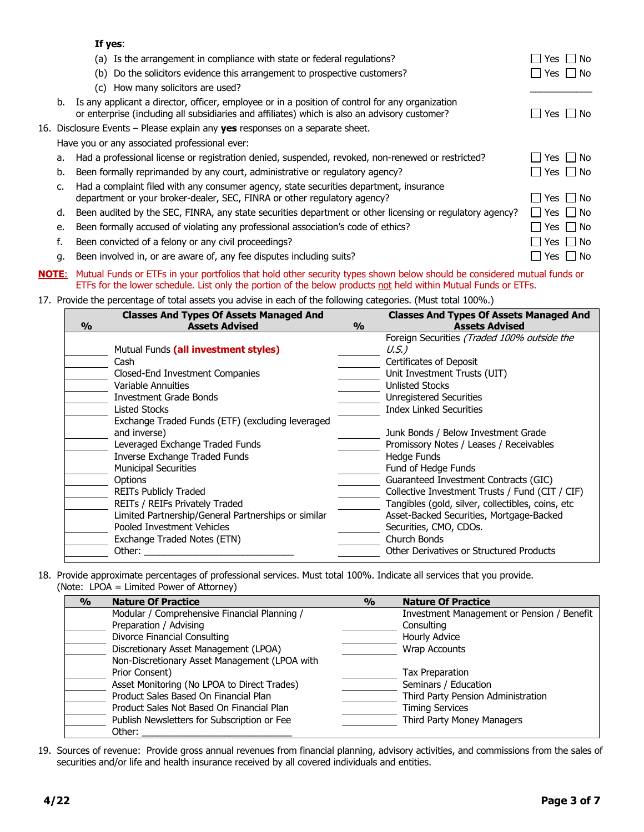|    | If yes:                                                                                                                                                                                          |                      |
|----|--------------------------------------------------------------------------------------------------------------------------------------------------------------------------------------------------|----------------------|
|    | (a) Is the arrangement in compliance with state or federal regulations?                                                                                                                          | Yes     No           |
|    | (b) Do the solicitors evidence this arrangement to prospective customers?                                                                                                                        | $\Box$ Yes $\Box$ No |
|    | (c) How many solicitors are used?                                                                                                                                                                |                      |
| b. | Is any applicant a director, officer, employee or in a position of control for any organization<br>or enterprise (including all subsidiaries and affiliates) which is also an advisory customer? | $\Box$ Yes $\Box$ No |
|    | 16. Disclosure Events - Please explain any <b>yes</b> responses on a separate sheet.                                                                                                             |                      |
|    | Have you or any associated professional ever:                                                                                                                                                    |                      |
| a. | Had a professional license or registration denied, suspended, revoked, non-renewed or restricted?                                                                                                | $\Box$ Yes $\Box$ No |
| b. | Been formally reprimanded by any court, administrative or regulatory agency?                                                                                                                     | $\Box$ Yes $\Box$ No |
| C. | Had a complaint filed with any consumer agency, state securities department, insurance<br>department or your broker-dealer, SEC, FINRA or other regulatory agency?                               | $\Box$ Yes $\Box$ No |
| d. | Been audited by the SEC, FINRA, any state securities department or other licensing or regulatory agency?                                                                                         | $\Box$ Yes $\Box$ No |
| e. | Been formally accused of violating any professional association's code of ethics?                                                                                                                | Yes     No           |
| f. | Been convicted of a felony or any civil proceedings?                                                                                                                                             | Yes     No           |
| q. | Been involved in, or are aware of, any fee disputes including suits?                                                                                                                             | Yes │ │ No           |

**NOTE**: Mutual Funds or ETFs in your portfolios that hold other security types shown below should be considered mutual funds or ETFs for the lower schedule. List only the portion of the below products not held within Mutual Funds or ETFs.

### 17. Provide the percentage of total assets you advise in each of the following categories. (Must total 100%.)

|               | <b>Classes And Types Of Assets Managed And</b>      |               | <b>Classes And Types Of Assets Managed And</b>    |
|---------------|-----------------------------------------------------|---------------|---------------------------------------------------|
| $\frac{0}{0}$ | <b>Assets Advised</b>                               | $\frac{0}{0}$ | <b>Assets Advised</b>                             |
|               |                                                     |               | Foreign Securities (Traded 100% outside the       |
|               | Mutual Funds (all investment styles)                |               | $U.S.$ )                                          |
|               | Cash                                                |               | Certificates of Deposit                           |
|               | Closed-End Investment Companies                     |               | Unit Investment Trusts (UIT)                      |
|               | <b>Variable Annuities</b>                           |               | <b>Unlisted Stocks</b>                            |
|               | <b>Investment Grade Bonds</b>                       |               | <b>Unregistered Securities</b>                    |
|               | Listed Stocks                                       |               | <b>Index Linked Securities</b>                    |
|               | Exchange Traded Funds (ETF) (excluding leveraged    |               |                                                   |
|               | and inverse)                                        |               | Junk Bonds / Below Investment Grade               |
|               | Leveraged Exchange Traded Funds                     |               | Promissory Notes / Leases / Receivables           |
|               | <b>Inverse Exchange Traded Funds</b>                |               | Hedge Funds                                       |
|               | <b>Municipal Securities</b>                         |               | Fund of Hedge Funds                               |
|               | <b>Options</b>                                      |               | Guaranteed Investment Contracts (GIC)             |
|               | <b>REITs Publicly Traded</b>                        |               | Collective Investment Trusts / Fund (CIT / CIF)   |
|               | REITs / REIFs Privately Traded                      |               | Tangibles (gold, silver, collectibles, coins, etc |
|               | Limited Partnership/General Partnerships or similar |               | Asset-Backed Securities, Mortgage-Backed          |
|               | Pooled Investment Vehicles                          |               | Securities, CMO, CDOs.                            |
|               | Exchange Traded Notes (ETN)                         |               | Church Bonds                                      |
|               | Other:                                              |               | <b>Other Derivatives or Structured Products</b>   |

18. Provide approximate percentages of professional services. Must total 100%. Indicate all services that you provide. (Note: LPOA = Limited Power of Attorney)

| $\frac{0}{0}$ | <b>Nature Of Practice</b>                     | $\frac{0}{0}$ | <b>Nature Of Practice</b>                  |
|---------------|-----------------------------------------------|---------------|--------------------------------------------|
|               | Modular / Comprehensive Financial Planning /  |               | Investment Management or Pension / Benefit |
|               | Preparation / Advising                        |               | Consulting                                 |
|               | Divorce Financial Consulting                  |               | Hourly Advice                              |
|               | Discretionary Asset Management (LPOA)         |               | <b>Wrap Accounts</b>                       |
|               | Non-Discretionary Asset Management (LPOA with |               |                                            |
|               | Prior Consent)                                |               | <b>Tax Preparation</b>                     |
|               | Asset Monitoring (No LPOA to Direct Trades)   |               | Seminars / Education                       |
|               | Product Sales Based On Financial Plan         |               | Third Party Pension Administration         |
|               | Product Sales Not Based On Financial Plan     |               | <b>Timing Services</b>                     |
|               | Publish Newsletters for Subscription or Fee   |               | Third Party Money Managers                 |
|               | Other:                                        |               |                                            |

19. Sources of revenue: Provide gross annual revenues from financial planning, advisory activities, and commissions from the sales of securities and/or life and health insurance received by all covered individuals and entities.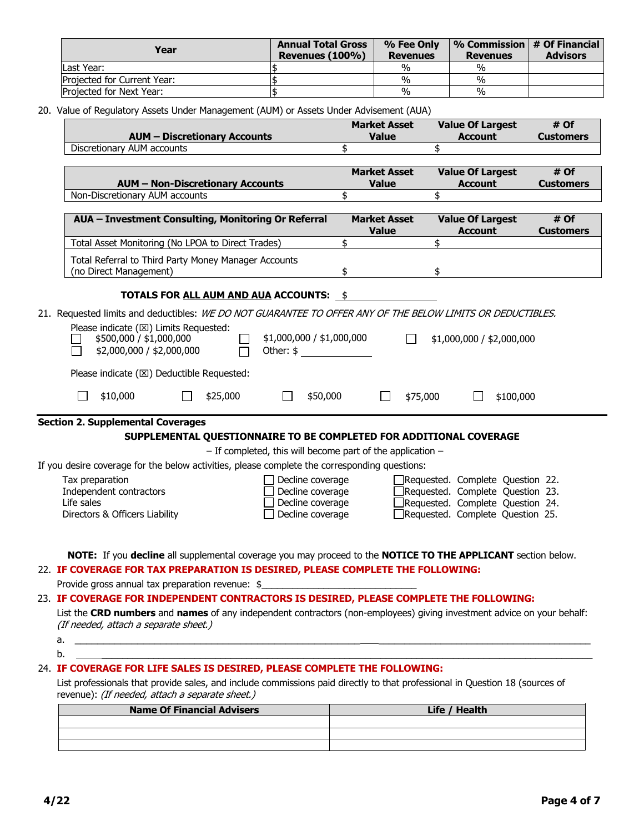| Year                        | <b>Annual Total Gross</b><br>Revenues (100%) | % Fee Only<br><b>Revenues</b> | % Commission $\vert \#$ Of Financial<br><b>Revenues</b> | <b>Advisors</b> |
|-----------------------------|----------------------------------------------|-------------------------------|---------------------------------------------------------|-----------------|
| Last Year:                  |                                              | %                             | $\%$                                                    |                 |
| Projected for Current Year: |                                              | %                             | %                                                       |                 |
| Projected for Next Year:    |                                              | $\%$                          | $\%$                                                    |                 |

20. Value of Regulatory Assets Under Management (AUM) or Assets Under Advisement (AUA)

|          | <b>AUM - Discretionary Accounts</b>                                                                                                                                                                                                                                                              | <b>Market Asset</b><br><b>Value</b> |          | <b>Value Of Largest</b><br><b>Account</b>                                                                                                    | # Of<br><b>Customers</b> |
|----------|--------------------------------------------------------------------------------------------------------------------------------------------------------------------------------------------------------------------------------------------------------------------------------------------------|-------------------------------------|----------|----------------------------------------------------------------------------------------------------------------------------------------------|--------------------------|
|          | Discretionary AUM accounts                                                                                                                                                                                                                                                                       | \$                                  | \$       |                                                                                                                                              |                          |
|          | <b>AUM - Non-Discretionary Accounts</b>                                                                                                                                                                                                                                                          | <b>Market Asset</b><br><b>Value</b> |          | <b>Value Of Largest</b><br><b>Account</b>                                                                                                    | # Of<br><b>Customers</b> |
|          | Non-Discretionary AUM accounts                                                                                                                                                                                                                                                                   | \$                                  | \$       |                                                                                                                                              |                          |
|          | AUA - Investment Consulting, Monitoring Or Referral                                                                                                                                                                                                                                              | <b>Market Asset</b><br><b>Value</b> |          | <b>Value Of Largest</b><br><b>Account</b>                                                                                                    | # Of<br><b>Customers</b> |
|          | Total Asset Monitoring (No LPOA to Direct Trades)                                                                                                                                                                                                                                                | \$                                  | \$       |                                                                                                                                              |                          |
|          | Total Referral to Third Party Money Manager Accounts<br>(no Direct Management)                                                                                                                                                                                                                   | \$                                  | \$       |                                                                                                                                              |                          |
|          | <b>TOTALS FOR ALL AUM AND AUA ACCOUNTS: \$</b>                                                                                                                                                                                                                                                   |                                     |          |                                                                                                                                              |                          |
|          | 21. Requested limits and deductibles: WE DO NOT GUARANTEE TO OFFER ANY OF THE BELOW LIMITS OR DEDUCTIBLES.<br>Please indicate ( $\boxtimes$ ) Limits Requested:<br>\$1,000,000 / \$1,000,000<br>\$500,000 / \$1,000,000<br>$\Box$<br>\$2,000,000 / \$2,000,000<br>Other: $\frac{1}{2}$<br>$\Box$ |                                     | $\Box$   | \$1,000,000 / \$2,000,000                                                                                                                    |                          |
|          | Please indicate ( $\boxtimes$ ) Deductible Requested:<br>\$10,000<br>\$25,000<br>\$50,000                                                                                                                                                                                                        | $\Box$                              | \$75,000 | \$100,000                                                                                                                                    |                          |
|          | <b>Section 2. Supplemental Coverages</b>                                                                                                                                                                                                                                                         |                                     |          |                                                                                                                                              |                          |
|          | SUPPLEMENTAL QUESTIONNAIRE TO BE COMPLETED FOR ADDITIONAL COVERAGE                                                                                                                                                                                                                               |                                     |          |                                                                                                                                              |                          |
|          | $-$ If completed, this will become part of the application $-$                                                                                                                                                                                                                                   |                                     |          |                                                                                                                                              |                          |
|          | If you desire coverage for the below activities, please complete the corresponding questions:<br>Tax preparation<br>Decline coverage<br>Independent contractors<br>Decline coverage<br>Life sales<br>Decline coverage<br>Decline coverage<br>Directors & Officers Liability                      |                                     |          | Requested. Complete Question 22.<br>Requested. Complete Question 23.<br>Requested. Complete Question 24.<br>Requested. Complete Question 25. |                          |
|          | NOTE: If you decline all supplemental coverage you may proceed to the NOTICE TO THE APPLICANT section below.<br>22. IF COVERAGE FOR TAX PREPARATION IS DESIRED, PLEASE COMPLETE THE FOLLOWING:<br>Provide gross annual tax preparation revenue: \$                                               |                                     |          |                                                                                                                                              |                          |
|          | 23. IF COVERAGE FOR INDEPENDENT CONTRACTORS IS DESIRED, PLEASE COMPLETE THE FOLLOWING:<br>List the CRD numbers and names of any independent contractors (non-employees) giving investment advice on your behalf:<br>(If needed, attach a separate sheet.)                                        |                                     |          |                                                                                                                                              |                          |
| a.<br>b. | <u> The Communication of the Communication of the Communication of the Communication of the Communication of the Co</u>                                                                                                                                                                          |                                     |          |                                                                                                                                              |                          |
|          | 24. IF COVERAGE FOR LIFE SALES IS DESIRED, PLEASE COMPLETE THE FOLLOWING:                                                                                                                                                                                                                        |                                     |          |                                                                                                                                              |                          |
|          | List professionals that provide sales, and include commissions paid directly to that professional in Question 18 (sources of                                                                                                                                                                     |                                     |          |                                                                                                                                              |                          |
|          | revenue): (If needed, attach a separate sheet.)                                                                                                                                                                                                                                                  |                                     |          |                                                                                                                                              |                          |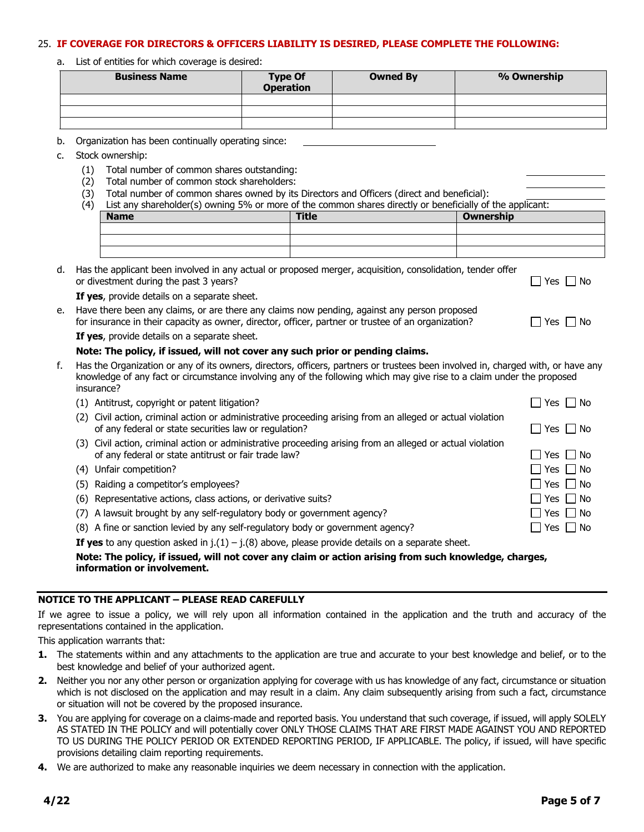#### 25. **IF COVERAGE FOR DIRECTORS & OFFICERS LIABILITY IS DESIRED, PLEASE COMPLETE THE FOLLOWING:**

a. List of entities for which coverage is desired:

| <b>Business Name</b> | <b>Type Of</b><br><b>Operation</b> | <b>Owned By</b> | % Ownership |
|----------------------|------------------------------------|-----------------|-------------|
|                      |                                    |                 |             |
|                      |                                    |                 |             |
|                      |                                    |                 |             |

- b. Organization has been continually operating since:
- c. Stock ownership:
	- (1) Total number of common shares outstanding:
	- (2) Total number of common stock shareholders:
	- (3) Total number of common shares owned by its Directors and Officers (direct and beneficial):

| (4) | List any shareholder(s) owning 5% or more of the common shares directly or beneficially of the applicant: |              |           |  |  |
|-----|-----------------------------------------------------------------------------------------------------------|--------------|-----------|--|--|
|     | <b>Name</b>                                                                                               | <b>Title</b> | Ownership |  |  |
|     |                                                                                                           |              |           |  |  |
|     |                                                                                                           |              |           |  |  |
|     |                                                                                                           |              |           |  |  |

| d. Has the applicant been involved in any actual or proposed merger, acquisition, consolidation, tender offer |                          |
|---------------------------------------------------------------------------------------------------------------|--------------------------|
| or divestment during the past 3 years?                                                                        | $\sqcap$ Yes $\sqcap$ No |

**If yes**, provide details on a separate sheet.

e. Have there been any claims, or are there any claims now pending, against any person proposed for insurance in their capacity as owner, director, officer, partner or trustee of an organization?  $\Box$  Yes  $\Box$  No **If yes**, provide details on a separate sheet.

### **Note: The policy, if issued, will not cover any such prior or pending claims.**

f. Has the Organization or any of its owners, directors, officers, partners or trustees been involved in, charged with, or have any knowledge of any fact or circumstance involving any of the following which may give rise to a claim under the proposed insurance?

| (1) Antitrust, copyright or patent litigation?                                                                                                                      | $\Box$ Yes $\Box$ No |
|---------------------------------------------------------------------------------------------------------------------------------------------------------------------|----------------------|
| (2) Civil action, criminal action or administrative proceeding arising from an alleged or actual violation<br>of any federal or state securities law or regulation? | $\Box$ Yes $\Box$ No |
| (3) Civil action, criminal action or administrative proceeding arising from an alleged or actual violation<br>of any federal or state antitrust or fair trade law?  | $\Box$ Yes $\Box$ No |
| (4) Unfair competition?                                                                                                                                             | $\Box$ Yes $\Box$ No |
| (5) Raiding a competitor's employees?                                                                                                                               | $\Box$ Yes $\Box$ No |
| (6) Representative actions, class actions, or derivative suits?                                                                                                     | $\Box$ Yes $\Box$ No |
| (7) A lawsuit brought by any self-regulatory body or government agency?                                                                                             | $\Box$ Yes $\Box$ No |
| (8) A fine or sanction levied by any self-regulatory body or government agency?                                                                                     | Yes □ No             |

**If yes** to any question asked in  $j.(1) - j.(8)$  above, please provide details on a separate sheet.

### **Note: The policy, if issued, will not cover any claim or action arising from such knowledge, charges, information or involvement.**

#### **NOTICE TO THE APPLICANT – PLEASE READ CAREFULLY**

If we agree to issue a policy, we will rely upon all information contained in the application and the truth and accuracy of the representations contained in the application.

This application warrants that:

- **1.** The statements within and any attachments to the application are true and accurate to your best knowledge and belief, or to the best knowledge and belief of your authorized agent.
- **2.** Neither you nor any other person or organization applying for coverage with us has knowledge of any fact, circumstance or situation which is not disclosed on the application and may result in a claim. Any claim subsequently arising from such a fact, circumstance or situation will not be covered by the proposed insurance.
- **3.** You are applying for coverage on a claims-made and reported basis. You understand that such coverage, if issued, will apply SOLELY AS STATED IN THE POLICY and will potentially cover ONLY THOSE CLAIMS THAT ARE FIRST MADE AGAINST YOU AND REPORTED TO US DURING THE POLICY PERIOD OR EXTENDED REPORTING PERIOD, IF APPLICABLE. The policy, if issued, will have specific provisions detailing claim reporting requirements.
- **4.** We are authorized to make any reasonable inquiries we deem necessary in connection with the application.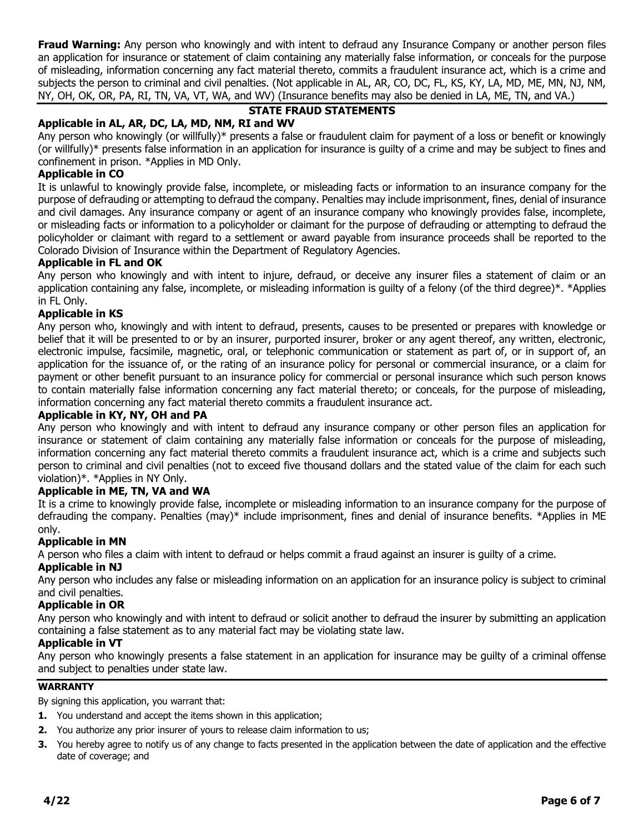**Fraud Warning:** Any person who knowingly and with intent to defraud any Insurance Company or another person files an application for insurance or statement of claim containing any materially false information, or conceals for the purpose of misleading, information concerning any fact material thereto, commits a fraudulent insurance act, which is a crime and subjects the person to criminal and civil penalties. (Not applicable in AL, AR, CO, DC, FL, KS, KY, LA, MD, ME, MN, NJ, NM, NY, OH, OK, OR, PA, RI, TN, VA, VT, WA, and WV) (Insurance benefits may also be denied in LA, ME, TN, and VA.)

# **STATE FRAUD STATEMENTS**

# **Applicable in AL, AR, DC, LA, MD, NM, RI and WV**

Any person who knowingly (or willfully)\* presents a false or fraudulent claim for payment of a loss or benefit or knowingly (or willfully)\* presents false information in an application for insurance is guilty of a crime and may be subject to fines and confinement in prison. \*Applies in MD Only.

## **Applicable in CO**

It is unlawful to knowingly provide false, incomplete, or misleading facts or information to an insurance company for the purpose of defrauding or attempting to defraud the company. Penalties may include imprisonment, fines, denial of insurance and civil damages. Any insurance company or agent of an insurance company who knowingly provides false, incomplete, or misleading facts or information to a policyholder or claimant for the purpose of defrauding or attempting to defraud the policyholder or claimant with regard to a settlement or award payable from insurance proceeds shall be reported to the Colorado Division of Insurance within the Department of Regulatory Agencies.

## **Applicable in FL and OK**

Any person who knowingly and with intent to injure, defraud, or deceive any insurer files a statement of claim or an application containing any false, incomplete, or misleading information is guilty of a felony (of the third degree)\*. \*Applies in FL Only.

### **Applicable in KS**

Any person who, knowingly and with intent to defraud, presents, causes to be presented or prepares with knowledge or belief that it will be presented to or by an insurer, purported insurer, broker or any agent thereof, any written, electronic, electronic impulse, facsimile, magnetic, oral, or telephonic communication or statement as part of, or in support of, an application for the issuance of, or the rating of an insurance policy for personal or commercial insurance, or a claim for payment or other benefit pursuant to an insurance policy for commercial or personal insurance which such person knows to contain materially false information concerning any fact material thereto; or conceals, for the purpose of misleading, information concerning any fact material thereto commits a fraudulent insurance act.

### **Applicable in KY, NY, OH and PA**

Any person who knowingly and with intent to defraud any insurance company or other person files an application for insurance or statement of claim containing any materially false information or conceals for the purpose of misleading, information concerning any fact material thereto commits a fraudulent insurance act, which is a crime and subjects such person to criminal and civil penalties (not to exceed five thousand dollars and the stated value of the claim for each such violation)\*. \*Applies in NY Only.

## **Applicable in ME, TN, VA and WA**

It is a crime to knowingly provide false, incomplete or misleading information to an insurance company for the purpose of defrauding the company. Penalties (may)\* include imprisonment, fines and denial of insurance benefits. \*Applies in ME only.

### **Applicable in MN**

A person who files a claim with intent to defraud or helps commit a fraud against an insurer is guilty of a crime.

### **Applicable in NJ**

Any person who includes any false or misleading information on an application for an insurance policy is subject to criminal and civil penalties.

## **Applicable in OR**

Any person who knowingly and with intent to defraud or solicit another to defraud the insurer by submitting an application containing a false statement as to any material fact may be violating state law.

### **Applicable in VT**

Any person who knowingly presents a false statement in an application for insurance may be guilty of a criminal offense and subject to penalties under state law.

### **WARRANTY**

By signing this application, you warrant that:

- **1.** You understand and accept the items shown in this application;
- **2.** You authorize any prior insurer of yours to release claim information to us;
- **3.** You hereby agree to notify us of any change to facts presented in the application between the date of application and the effective date of coverage; and